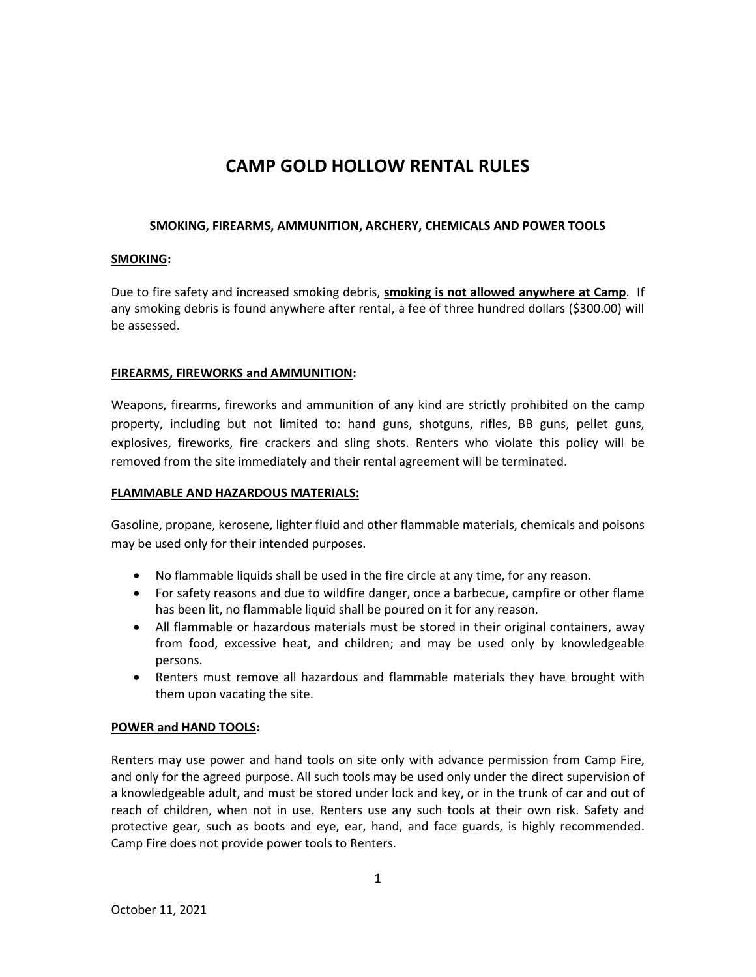# **CAMP GOLD HOLLOW RENTAL RULES**

# **SMOKING, FIREARMS, AMMUNITION, ARCHERY, CHEMICALS AND POWER TOOLS**

# **SMOKING:**

Due to fire safety and increased smoking debris, **smoking is not allowed anywhere at Camp**. If any smoking debris is found anywhere after rental, a fee of three hundred dollars (\$300.00) will be assessed.

# **FIREARMS, FIREWORKS and AMMUNITION:**

Weapons, firearms, fireworks and ammunition of any kind are strictly prohibited on the camp property, including but not limited to: hand guns, shotguns, rifles, BB guns, pellet guns, explosives, fireworks, fire crackers and sling shots. Renters who violate this policy will be removed from the site immediately and their rental agreement will be terminated.

# **FLAMMABLE AND HAZARDOUS MATERIALS:**

Gasoline, propane, kerosene, lighter fluid and other flammable materials, chemicals and poisons may be used only for their intended purposes.

- No flammable liquids shall be used in the fire circle at any time, for any reason.
- For safety reasons and due to wildfire danger, once a barbecue, campfire or other flame has been lit, no flammable liquid shall be poured on it for any reason.
- All flammable or hazardous materials must be stored in their original containers, away from food, excessive heat, and children; and may be used only by knowledgeable persons.
- Renters must remove all hazardous and flammable materials they have brought with them upon vacating the site.

# **POWER and HAND TOOLS:**

Renters may use power and hand tools on site only with advance permission from Camp Fire, and only for the agreed purpose. All such tools may be used only under the direct supervision of a knowledgeable adult, and must be stored under lock and key, or in the trunk of car and out of reach of children, when not in use. Renters use any such tools at their own risk. Safety and protective gear, such as boots and eye, ear, hand, and face guards, is highly recommended. Camp Fire does not provide power tools to Renters.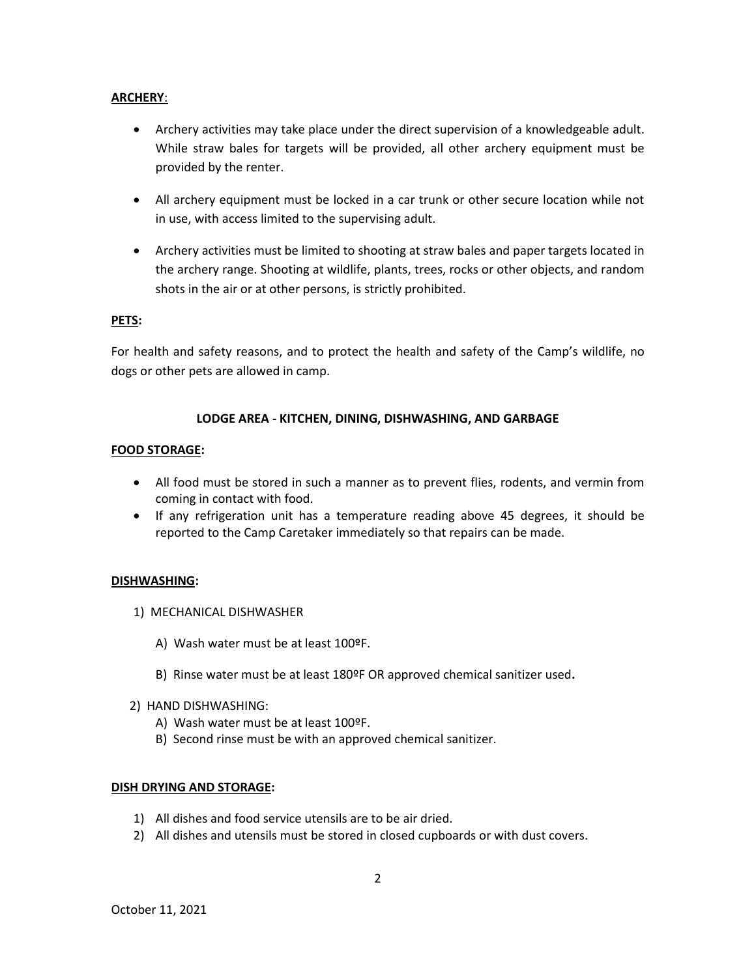## **ARCHERY**:

- Archery activities may take place under the direct supervision of a knowledgeable adult. While straw bales for targets will be provided, all other archery equipment must be provided by the renter.
- All archery equipment must be locked in a car trunk or other secure location while not in use, with access limited to the supervising adult.
- Archery activities must be limited to shooting at straw bales and paper targets located in the archery range. Shooting at wildlife, plants, trees, rocks or other objects, and random shots in the air or at other persons, is strictly prohibited.

#### **PETS:**

For health and safety reasons, and to protect the health and safety of the Camp's wildlife, no dogs or other pets are allowed in camp.

## **LODGE AREA - KITCHEN, DINING, DISHWASHING, AND GARBAGE**

## **FOOD STORAGE:**

- All food must be stored in such a manner as to prevent flies, rodents, and vermin from coming in contact with food.
- If any refrigeration unit has a temperature reading above 45 degrees, it should be reported to the Camp Caretaker immediately so that repairs can be made.

## **DISHWASHING:**

- 1) MECHANICAL DISHWASHER
	- A) Wash water must be at least 100ºF.
	- B) Rinse water must be at least 180ºF OR approved chemical sanitizer used**.**
- 2) HAND DISHWASHING:
	- A) Wash water must be at least 100ºF.
	- B) Second rinse must be with an approved chemical sanitizer.

#### **DISH DRYING AND STORAGE:**

- 1) All dishes and food service utensils are to be air dried.
- 2) All dishes and utensils must be stored in closed cupboards or with dust covers.

2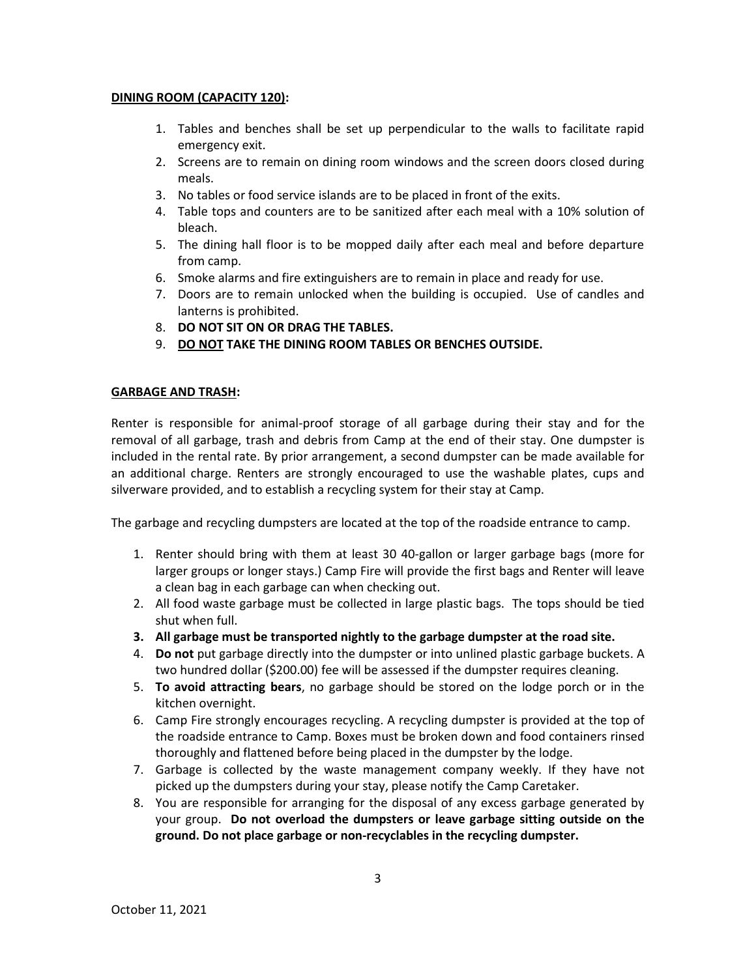#### **DINING ROOM (CAPACITY 120):**

- 1. Tables and benches shall be set up perpendicular to the walls to facilitate rapid emergency exit.
- 2. Screens are to remain on dining room windows and the screen doors closed during meals.
- 3. No tables or food service islands are to be placed in front of the exits.
- 4. Table tops and counters are to be sanitized after each meal with a 10% solution of bleach.
- 5. The dining hall floor is to be mopped daily after each meal and before departure from camp.
- 6. Smoke alarms and fire extinguishers are to remain in place and ready for use.
- 7. Doors are to remain unlocked when the building is occupied. Use of candles and lanterns is prohibited.
- 8. **DO NOT SIT ON OR DRAG THE TABLES.**
- 9. **DO NOT TAKE THE DINING ROOM TABLES OR BENCHES OUTSIDE.**

## **GARBAGE AND TRASH:**

Renter is responsible for animal-proof storage of all garbage during their stay and for the removal of all garbage, trash and debris from Camp at the end of their stay. One dumpster is included in the rental rate. By prior arrangement, a second dumpster can be made available for an additional charge. Renters are strongly encouraged to use the washable plates, cups and silverware provided, and to establish a recycling system for their stay at Camp.

The garbage and recycling dumpsters are located at the top of the roadside entrance to camp.

- 1. Renter should bring with them at least 30 40-gallon or larger garbage bags (more for larger groups or longer stays.) Camp Fire will provide the first bags and Renter will leave a clean bag in each garbage can when checking out.
- 2. All food waste garbage must be collected in large plastic bags. The tops should be tied shut when full.
- **3. All garbage must be transported nightly to the garbage dumpster at the road site.**
- 4. **Do not** put garbage directly into the dumpster or into unlined plastic garbage buckets. A two hundred dollar (\$200.00) fee will be assessed if the dumpster requires cleaning.
- 5. **To avoid attracting bears**, no garbage should be stored on the lodge porch or in the kitchen overnight.
- 6. Camp Fire strongly encourages recycling. A recycling dumpster is provided at the top of the roadside entrance to Camp. Boxes must be broken down and food containers rinsed thoroughly and flattened before being placed in the dumpster by the lodge.
- 7. Garbage is collected by the waste management company weekly. If they have not picked up the dumpsters during your stay, please notify the Camp Caretaker.
- 8. You are responsible for arranging for the disposal of any excess garbage generated by your group. **Do not overload the dumpsters or leave garbage sitting outside on the ground. Do not place garbage or non-recyclables in the recycling dumpster.**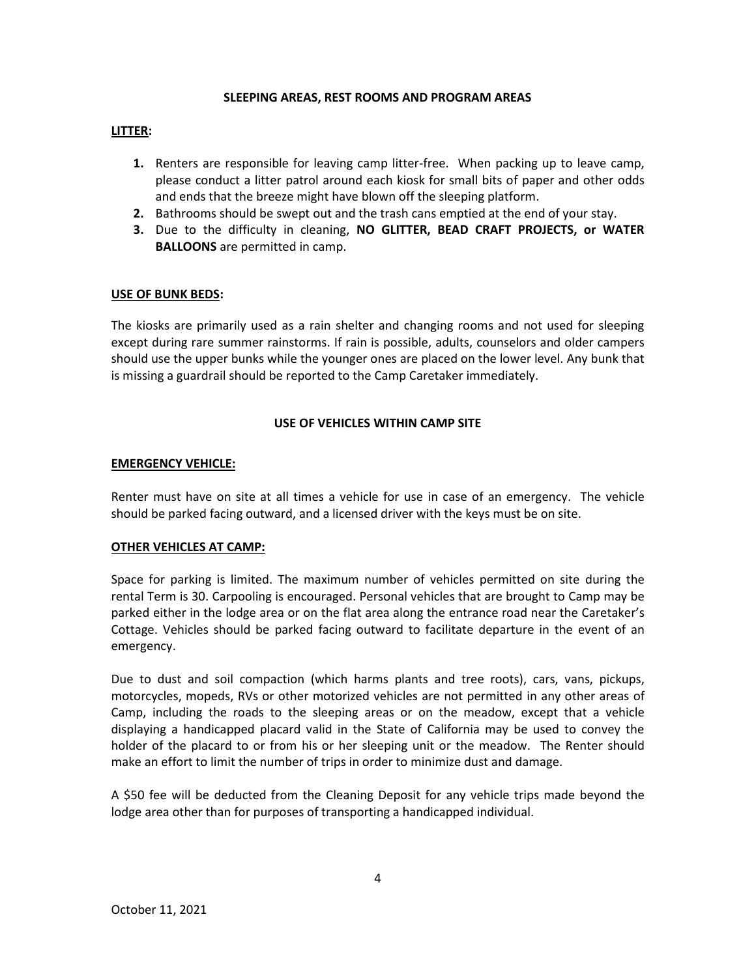#### **SLEEPING AREAS, REST ROOMS AND PROGRAM AREAS**

## **LITTER:**

- **1.** Renters are responsible for leaving camp litter-free. When packing up to leave camp, please conduct a litter patrol around each kiosk for small bits of paper and other odds and ends that the breeze might have blown off the sleeping platform.
- **2.** Bathrooms should be swept out and the trash cans emptied at the end of your stay.
- **3.** Due to the difficulty in cleaning, **NO GLITTER, BEAD CRAFT PROJECTS, or WATER BALLOONS** are permitted in camp.

## **USE OF BUNK BEDS:**

The kiosks are primarily used as a rain shelter and changing rooms and not used for sleeping except during rare summer rainstorms. If rain is possible, adults, counselors and older campers should use the upper bunks while the younger ones are placed on the lower level. Any bunk that is missing a guardrail should be reported to the Camp Caretaker immediately.

## **USE OF VEHICLES WITHIN CAMP SITE**

## **EMERGENCY VEHICLE:**

Renter must have on site at all times a vehicle for use in case of an emergency. The vehicle should be parked facing outward, and a licensed driver with the keys must be on site.

## **OTHER VEHICLES AT CAMP:**

Space for parking is limited. The maximum number of vehicles permitted on site during the rental Term is 30. Carpooling is encouraged. Personal vehicles that are brought to Camp may be parked either in the lodge area or on the flat area along the entrance road near the Caretaker's Cottage. Vehicles should be parked facing outward to facilitate departure in the event of an emergency.

Due to dust and soil compaction (which harms plants and tree roots), cars, vans, pickups, motorcycles, mopeds, RVs or other motorized vehicles are not permitted in any other areas of Camp, including the roads to the sleeping areas or on the meadow, except that a vehicle displaying a handicapped placard valid in the State of California may be used to convey the holder of the placard to or from his or her sleeping unit or the meadow. The Renter should make an effort to limit the number of trips in order to minimize dust and damage.

A \$50 fee will be deducted from the Cleaning Deposit for any vehicle trips made beyond the lodge area other than for purposes of transporting a handicapped individual.